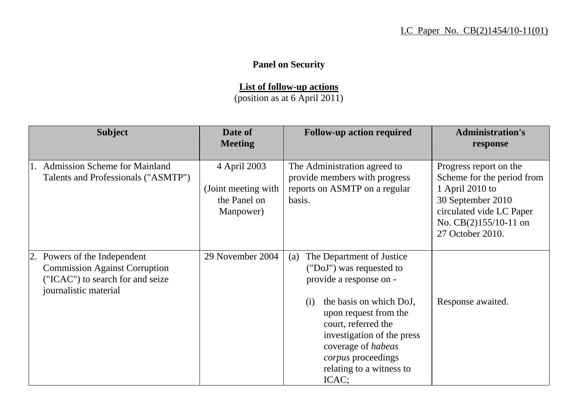## **Panel on Security**

**List of follow-up actions**

(position as at 6 April 2011)

| <b>Subject</b>                                                                                                                    | Date of<br><b>Meeting</b>                                         | <b>Follow-up action required</b>                                                                                                                                                                                                                                                                | <b>Administration's</b><br>response                                                                                                                                   |
|-----------------------------------------------------------------------------------------------------------------------------------|-------------------------------------------------------------------|-------------------------------------------------------------------------------------------------------------------------------------------------------------------------------------------------------------------------------------------------------------------------------------------------|-----------------------------------------------------------------------------------------------------------------------------------------------------------------------|
| <b>Admission Scheme for Mainland</b><br>Talents and Professionals ("ASMTP")                                                       | 4 April 2003<br>(Joint meeting with)<br>the Panel on<br>Manpower) | The Administration agreed to<br>provide members with progress<br>reports on ASMTP on a regular<br>basis.                                                                                                                                                                                        | Progress report on the<br>Scheme for the period from<br>1 April 2010 to<br>30 September 2010<br>circulated vide LC Paper<br>No. CB(2)155/10-11 on<br>27 October 2010. |
| 2. Powers of the Independent<br><b>Commission Against Corruption</b><br>("ICAC") to search for and seize<br>journalistic material | 29 November 2004                                                  | The Department of Justice<br>(a)<br>("DoJ") was requested to<br>provide a response on -<br>the basis on which DoJ,<br>(i)<br>upon request from the<br>court, referred the<br>investigation of the press<br>coverage of habeas<br><i>corpus</i> proceedings<br>relating to a witness to<br>ICAC; | Response awaited.                                                                                                                                                     |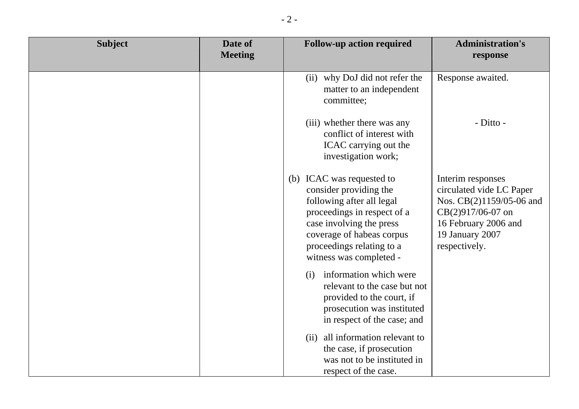| <b>Subject</b> | Date of<br><b>Meeting</b> | <b>Follow-up action required</b>                                                                                                                                                                                                 | <b>Administration's</b><br>response                                                                                                                        |
|----------------|---------------------------|----------------------------------------------------------------------------------------------------------------------------------------------------------------------------------------------------------------------------------|------------------------------------------------------------------------------------------------------------------------------------------------------------|
|                |                           | (ii) why DoJ did not refer the<br>matter to an independent<br>committee;                                                                                                                                                         | Response awaited.                                                                                                                                          |
|                |                           | (iii) whether there was any<br>conflict of interest with<br>ICAC carrying out the<br>investigation work;                                                                                                                         | - Ditto -                                                                                                                                                  |
|                |                           | (b) ICAC was requested to<br>consider providing the<br>following after all legal<br>proceedings in respect of a<br>case involving the press<br>coverage of habeas corpus<br>proceedings relating to a<br>witness was completed - | Interim responses<br>circulated vide LC Paper<br>Nos. CB(2)1159/05-06 and<br>CB(2)917/06-07 on<br>16 February 2006 and<br>19 January 2007<br>respectively. |
|                |                           | information which were<br>(i)<br>relevant to the case but not<br>provided to the court, if<br>prosecution was instituted<br>in respect of the case; and                                                                          |                                                                                                                                                            |
|                |                           | (ii) all information relevant to<br>the case, if prosecution<br>was not to be instituted in<br>respect of the case.                                                                                                              |                                                                                                                                                            |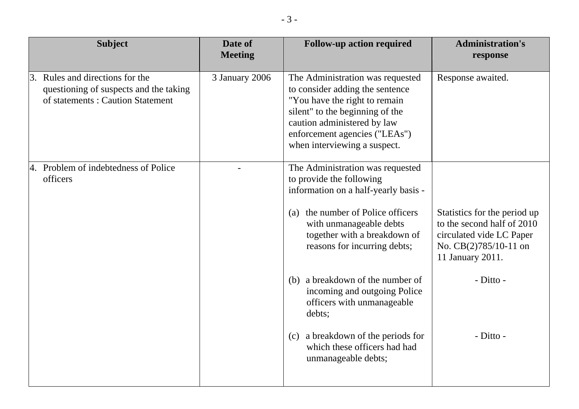| <b>Subject</b>                                                                                                | Date of<br><b>Meeting</b> | <b>Follow-up action required</b>                                                                                                                                                                                                                                            | <b>Administration's</b><br>response                                                                                                              |
|---------------------------------------------------------------------------------------------------------------|---------------------------|-----------------------------------------------------------------------------------------------------------------------------------------------------------------------------------------------------------------------------------------------------------------------------|--------------------------------------------------------------------------------------------------------------------------------------------------|
| 3. Rules and directions for the<br>questioning of suspects and the taking<br>of statements: Caution Statement | 3 January 2006            | The Administration was requested<br>to consider adding the sentence<br>"You have the right to remain<br>silent" to the beginning of the<br>caution administered by law<br>enforcement agencies ("LEAs")<br>when interviewing a suspect.                                     | Response awaited.                                                                                                                                |
| 4. Problem of indebtedness of Police<br>officers                                                              |                           | The Administration was requested<br>to provide the following<br>information on a half-yearly basis -<br>the number of Police officers<br>(a)<br>with unmanageable debts<br>together with a breakdown of<br>reasons for incurring debts;<br>(b) a breakdown of the number of | Statistics for the period up<br>to the second half of 2010<br>circulated vide LC Paper<br>No. CB(2)785/10-11 on<br>11 January 2011.<br>- Ditto - |
|                                                                                                               |                           | incoming and outgoing Police<br>officers with unmanageable<br>debts;<br>a breakdown of the periods for<br>(c)<br>which these officers had had<br>unmanageable debts;                                                                                                        | - Ditto -                                                                                                                                        |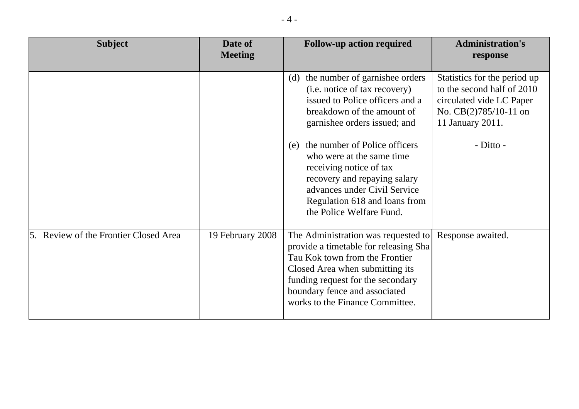| <b>Subject</b>                     | Date of<br><b>Meeting</b> | <b>Follow-up action required</b>                                                                                                                                                                                                                           | <b>Administration's</b><br>response                                                                                                   |
|------------------------------------|---------------------------|------------------------------------------------------------------------------------------------------------------------------------------------------------------------------------------------------------------------------------------------------------|---------------------------------------------------------------------------------------------------------------------------------------|
|                                    |                           | the number of garnishee orders<br>(d)<br>(i.e. notice of tax recovery)<br>issued to Police officers and a<br>breakdown of the amount of<br>garnishee orders issued; and                                                                                    | Statistics for the period up<br>to the second half of 2010<br>circulated vide LC Paper<br>No. $CB(2)785/10-11$ on<br>11 January 2011. |
|                                    |                           | the number of Police officers<br>(e)<br>who were at the same time.<br>receiving notice of tax<br>recovery and repaying salary<br>advances under Civil Service<br>Regulation 618 and loans from<br>the Police Welfare Fund.                                 | - Ditto -                                                                                                                             |
| Review of the Frontier Closed Area | 19 February 2008          | The Administration was requested to<br>provide a timetable for releasing Sha<br>Tau Kok town from the Frontier<br>Closed Area when submitting its<br>funding request for the secondary<br>boundary fence and associated<br>works to the Finance Committee. | Response awaited.                                                                                                                     |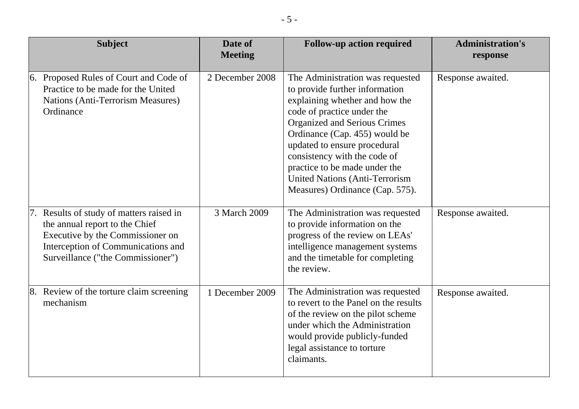| <b>Subject</b>                                                                                                                                                                         | Date of<br><b>Meeting</b> | <b>Follow-up action required</b>                                                                                                                                                                                                                                                                                                                                                  | <b>Administration's</b><br>response |
|----------------------------------------------------------------------------------------------------------------------------------------------------------------------------------------|---------------------------|-----------------------------------------------------------------------------------------------------------------------------------------------------------------------------------------------------------------------------------------------------------------------------------------------------------------------------------------------------------------------------------|-------------------------------------|
| Proposed Rules of Court and Code of<br>6.<br>Practice to be made for the United<br>Nations (Anti-Terrorism Measures)<br>Ordinance                                                      | 2 December 2008           | The Administration was requested<br>to provide further information<br>explaining whether and how the<br>code of practice under the<br>Organized and Serious Crimes<br>Ordinance (Cap. 455) would be<br>updated to ensure procedural<br>consistency with the code of<br>practice to be made under the<br><b>United Nations (Anti-Terrorism)</b><br>Measures) Ordinance (Cap. 575). | Response awaited.                   |
| Results of study of matters raised in<br>the annual report to the Chief<br>Executive by the Commissioner on<br>Interception of Communications and<br>Surveillance ("the Commissioner") | 3 March 2009              | The Administration was requested<br>to provide information on the<br>progress of the review on LEAs'<br>intelligence management systems<br>and the timetable for completing<br>the review.                                                                                                                                                                                        | Response awaited.                   |
| Review of the torture claim screening<br>8.<br>mechanism                                                                                                                               | 1 December 2009           | The Administration was requested<br>to revert to the Panel on the results<br>of the review on the pilot scheme<br>under which the Administration<br>would provide publicly-funded<br>legal assistance to torture<br>claimants.                                                                                                                                                    | Response awaited.                   |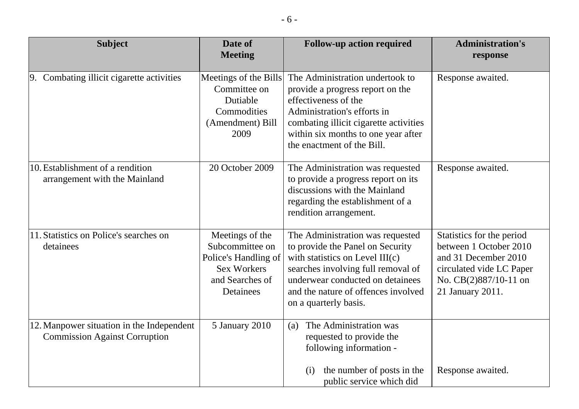| <b>Subject</b>                                                                    | Date of<br><b>Meeting</b>                                                                                        | <b>Follow-up action required</b>                                                                                                                                                                                                                  | <b>Administration's</b><br>response                                                                                                                  |
|-----------------------------------------------------------------------------------|------------------------------------------------------------------------------------------------------------------|---------------------------------------------------------------------------------------------------------------------------------------------------------------------------------------------------------------------------------------------------|------------------------------------------------------------------------------------------------------------------------------------------------------|
| 9. Combating illicit cigarette activities                                         | Meetings of the Bills<br>Committee on<br>Dutiable<br>Commodities<br>(Amendment) Bill<br>2009                     | The Administration undertook to<br>provide a progress report on the<br>effectiveness of the<br>Administration's efforts in<br>combating illicit cigarette activities<br>within six months to one year after<br>the enactment of the Bill.         | Response awaited.                                                                                                                                    |
| 10. Establishment of a rendition<br>arrangement with the Mainland                 | 20 October 2009                                                                                                  | The Administration was requested<br>to provide a progress report on its<br>discussions with the Mainland<br>regarding the establishment of a<br>rendition arrangement.                                                                            | Response awaited.                                                                                                                                    |
| 11. Statistics on Police's searches on<br>detainees                               | Meetings of the<br>Subcommittee on<br>Police's Handling of<br><b>Sex Workers</b><br>and Searches of<br>Detainees | The Administration was requested<br>to provide the Panel on Security<br>with statistics on Level III(c)<br>searches involving full removal of<br>underwear conducted on detainees<br>and the nature of offences involved<br>on a quarterly basis. | Statistics for the period<br>between 1 October 2010<br>and 31 December 2010<br>circulated vide LC Paper<br>No. CB(2)887/10-11 on<br>21 January 2011. |
| 12. Manpower situation in the Independent<br><b>Commission Against Corruption</b> | 5 January 2010                                                                                                   | The Administration was<br>(a)<br>requested to provide the<br>following information -<br>the number of posts in the<br>(i)<br>public service which did                                                                                             | Response awaited.                                                                                                                                    |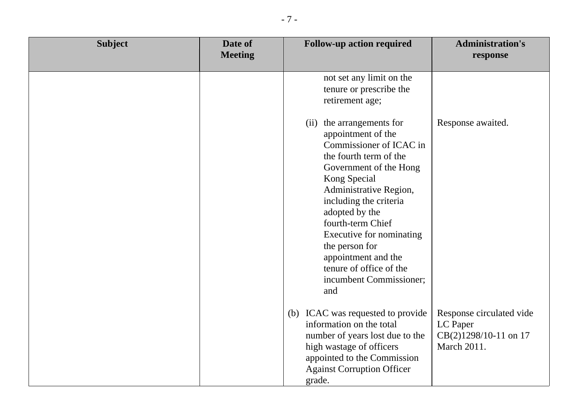| <b>Subject</b> | Date of<br><b>Meeting</b> | <b>Follow-up action required</b>                                                                                                                                                                                                                                                                                                                                               | <b>Administration's</b><br>response                                          |
|----------------|---------------------------|--------------------------------------------------------------------------------------------------------------------------------------------------------------------------------------------------------------------------------------------------------------------------------------------------------------------------------------------------------------------------------|------------------------------------------------------------------------------|
|                |                           | not set any limit on the<br>tenure or prescribe the<br>retirement age;                                                                                                                                                                                                                                                                                                         |                                                                              |
|                |                           | the arrangements for<br>(ii)<br>appointment of the<br>Commissioner of ICAC in<br>the fourth term of the<br>Government of the Hong<br>Kong Special<br>Administrative Region,<br>including the criteria<br>adopted by the<br>fourth-term Chief<br>Executive for nominating<br>the person for<br>appointment and the<br>tenure of office of the<br>incumbent Commissioner;<br>and | Response awaited.                                                            |
|                |                           | (b) ICAC was requested to provide<br>information on the total<br>number of years lost due to the<br>high wastage of officers<br>appointed to the Commission<br><b>Against Corruption Officer</b><br>grade.                                                                                                                                                                     | Response circulated vide<br>LC Paper<br>CB(2)1298/10-11 on 17<br>March 2011. |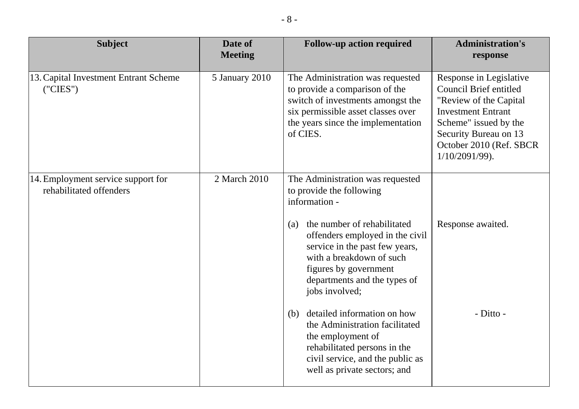| <b>Subject</b>                                                | Date of<br><b>Meeting</b> | <b>Follow-up action required</b>                                                                                                                                                                                     | <b>Administration's</b><br>response                                                                                                                                                                              |
|---------------------------------------------------------------|---------------------------|----------------------------------------------------------------------------------------------------------------------------------------------------------------------------------------------------------------------|------------------------------------------------------------------------------------------------------------------------------------------------------------------------------------------------------------------|
| 13. Capital Investment Entrant Scheme<br>("CIES")             | 5 January 2010            | The Administration was requested<br>to provide a comparison of the<br>switch of investments amongst the<br>six permissible asset classes over<br>the years since the implementation<br>of CIES.                      | Response in Legislative<br><b>Council Brief entitled</b><br>"Review of the Capital<br><b>Investment Entrant</b><br>Scheme" issued by the<br>Security Bureau on 13<br>October 2010 (Ref. SBCR<br>$1/10/2091/99$ . |
| 14. Employment service support for<br>rehabilitated offenders | 2 March 2010              | The Administration was requested<br>to provide the following<br>information -<br>the number of rehabilitated<br>(a)<br>offenders employed in the civil<br>service in the past few years,<br>with a breakdown of such | Response awaited.                                                                                                                                                                                                |
|                                                               |                           | figures by government<br>departments and the types of<br>jobs involved;<br>detailed information on how<br>(b)<br>the Administration facilitated<br>the employment of<br>rehabilitated persons in the                 | - Ditto -                                                                                                                                                                                                        |
|                                                               |                           | civil service, and the public as<br>well as private sectors; and                                                                                                                                                     |                                                                                                                                                                                                                  |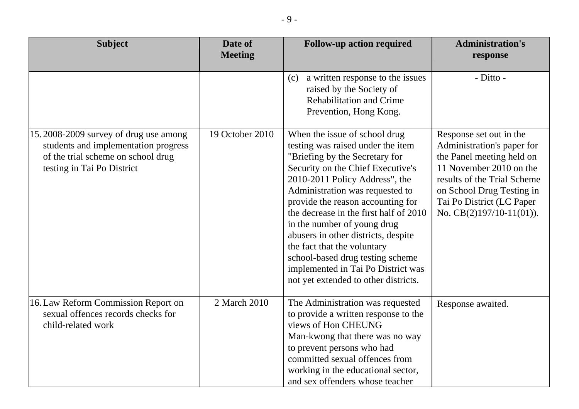| <b>Subject</b>                                                                                                                                    | Date of<br><b>Meeting</b> | <b>Follow-up action required</b>                                                                                                                                                                                                                                                                                                                                                                                                                                                                                     | <b>Administration's</b><br>response                                                                                                                                                                                                   |
|---------------------------------------------------------------------------------------------------------------------------------------------------|---------------------------|----------------------------------------------------------------------------------------------------------------------------------------------------------------------------------------------------------------------------------------------------------------------------------------------------------------------------------------------------------------------------------------------------------------------------------------------------------------------------------------------------------------------|---------------------------------------------------------------------------------------------------------------------------------------------------------------------------------------------------------------------------------------|
|                                                                                                                                                   |                           | a written response to the issues<br>(c)<br>raised by the Society of<br><b>Rehabilitation and Crime</b><br>Prevention, Hong Kong.                                                                                                                                                                                                                                                                                                                                                                                     | - Ditto -                                                                                                                                                                                                                             |
| 15.2008-2009 survey of drug use among<br>students and implementation progress<br>of the trial scheme on school drug<br>testing in Tai Po District | 19 October 2010           | When the issue of school drug<br>testing was raised under the item<br>"Briefing by the Secretary for<br>Security on the Chief Executive's<br>2010-2011 Policy Address", the<br>Administration was requested to<br>provide the reason accounting for<br>the decrease in the first half of 2010<br>in the number of young drug<br>abusers in other districts, despite<br>the fact that the voluntary<br>school-based drug testing scheme<br>implemented in Tai Po District was<br>not yet extended to other districts. | Response set out in the<br>Administration's paper for<br>the Panel meeting held on<br>11 November 2010 on the<br>results of the Trial Scheme<br>on School Drug Testing in<br>Tai Po District (LC Paper<br>No. $CB(2)197/10-11(01)$ ). |
| 16. Law Reform Commission Report on<br>sexual offences records checks for<br>child-related work                                                   | 2 March 2010              | The Administration was requested<br>to provide a written response to the<br>views of Hon CHEUNG<br>Man-kwong that there was no way<br>to prevent persons who had<br>committed sexual offences from<br>working in the educational sector,<br>and sex offenders whose teacher                                                                                                                                                                                                                                          | Response awaited.                                                                                                                                                                                                                     |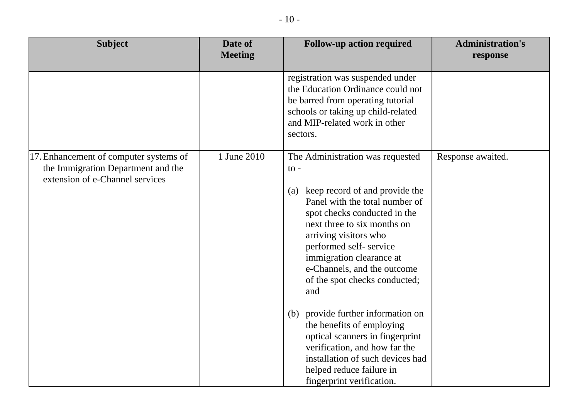| <b>Subject</b>                                                                                                  | Date of<br><b>Meeting</b> | <b>Follow-up action required</b>                                                                                                                                                                                                                                                                                                                                                                                                                                                                                                                                                            | <b>Administration's</b><br>response |
|-----------------------------------------------------------------------------------------------------------------|---------------------------|---------------------------------------------------------------------------------------------------------------------------------------------------------------------------------------------------------------------------------------------------------------------------------------------------------------------------------------------------------------------------------------------------------------------------------------------------------------------------------------------------------------------------------------------------------------------------------------------|-------------------------------------|
|                                                                                                                 |                           | registration was suspended under<br>the Education Ordinance could not<br>be barred from operating tutorial<br>schools or taking up child-related<br>and MIP-related work in other<br>sectors.                                                                                                                                                                                                                                                                                                                                                                                               |                                     |
| 17. Enhancement of computer systems of<br>the Immigration Department and the<br>extension of e-Channel services | 1 June 2010               | The Administration was requested<br>$\mathfrak{t}$ .<br>keep record of and provide the<br>(a)<br>Panel with the total number of<br>spot checks conducted in the<br>next three to six months on<br>arriving visitors who<br>performed self-service<br>immigration clearance at<br>e-Channels, and the outcome<br>of the spot checks conducted;<br>and<br>provide further information on<br>(b)<br>the benefits of employing<br>optical scanners in fingerprint<br>verification, and how far the<br>installation of such devices had<br>helped reduce failure in<br>fingerprint verification. | Response awaited.                   |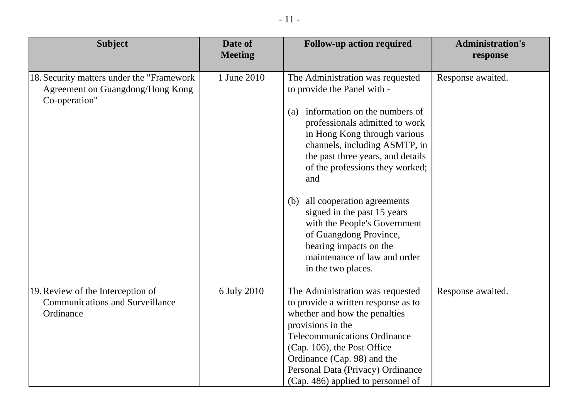| <b>Subject</b>                                                                                  | Date of<br><b>Meeting</b> | <b>Follow-up action required</b>                                                                                                                                                                                                                                                                              | <b>Administration's</b><br>response |
|-------------------------------------------------------------------------------------------------|---------------------------|---------------------------------------------------------------------------------------------------------------------------------------------------------------------------------------------------------------------------------------------------------------------------------------------------------------|-------------------------------------|
| 18. Security matters under the "Framework"<br>Agreement on Guangdong/Hong Kong<br>Co-operation" | 1 June 2010               | The Administration was requested<br>to provide the Panel with -                                                                                                                                                                                                                                               | Response awaited.                   |
|                                                                                                 |                           | information on the numbers of<br>(a)<br>professionals admitted to work<br>in Hong Kong through various<br>channels, including ASMTP, in<br>the past three years, and details<br>of the professions they worked;<br>and                                                                                        |                                     |
|                                                                                                 |                           | all cooperation agreements<br>(b)<br>signed in the past 15 years<br>with the People's Government<br>of Guangdong Province,<br>bearing impacts on the<br>maintenance of law and order<br>in the two places.                                                                                                    |                                     |
| 19. Review of the Interception of<br><b>Communications and Surveillance</b><br>Ordinance        | 6 July 2010               | The Administration was requested<br>to provide a written response as to<br>whether and how the penalties<br>provisions in the<br><b>Telecommunications Ordinance</b><br>(Cap. 106), the Post Office<br>Ordinance (Cap. 98) and the<br>Personal Data (Privacy) Ordinance<br>(Cap. 486) applied to personnel of | Response awaited.                   |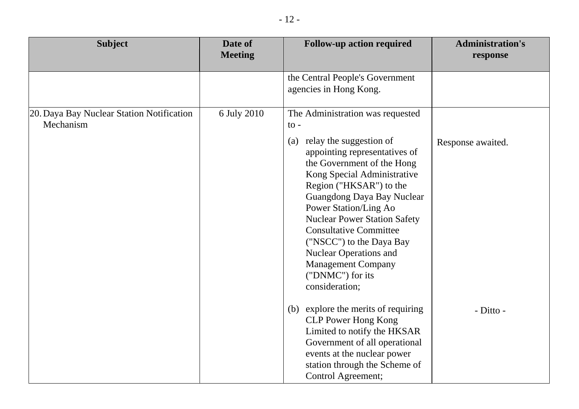| <b>Subject</b>                                         | Date of<br><b>Meeting</b> | <b>Follow-up action required</b>                                                                                                                                                                                                                                                                                                                                                                                                                                              | <b>Administration's</b><br>response |
|--------------------------------------------------------|---------------------------|-------------------------------------------------------------------------------------------------------------------------------------------------------------------------------------------------------------------------------------------------------------------------------------------------------------------------------------------------------------------------------------------------------------------------------------------------------------------------------|-------------------------------------|
|                                                        |                           | the Central People's Government<br>agencies in Hong Kong.                                                                                                                                                                                                                                                                                                                                                                                                                     |                                     |
| 20. Daya Bay Nuclear Station Notification<br>Mechanism | 6 July 2010               | The Administration was requested<br>$\mathrm{to}$ -<br>relay the suggestion of<br>(a)<br>appointing representatives of<br>the Government of the Hong<br>Kong Special Administrative<br>Region ("HKSAR") to the<br>Guangdong Daya Bay Nuclear<br>Power Station/Ling Ao<br><b>Nuclear Power Station Safety</b><br><b>Consultative Committee</b><br>("NSCC") to the Daya Bay<br><b>Nuclear Operations and</b><br><b>Management Company</b><br>("DNMC") for its<br>consideration; | Response awaited.                   |
|                                                        |                           | explore the merits of requiring<br>(b)<br><b>CLP Power Hong Kong</b><br>Limited to notify the HKSAR<br>Government of all operational<br>events at the nuclear power<br>station through the Scheme of<br>Control Agreement;                                                                                                                                                                                                                                                    | - Ditto -                           |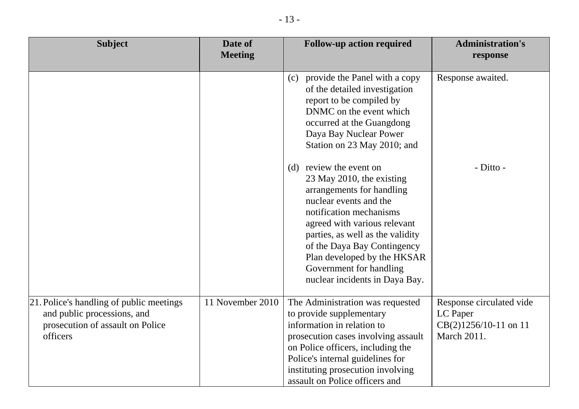| <b>Subject</b>                                                                                                          | Date of<br><b>Meeting</b> | <b>Follow-up action required</b>                                                                                                                                                                                                                                                                                                         | <b>Administration's</b><br>response                                            |
|-------------------------------------------------------------------------------------------------------------------------|---------------------------|------------------------------------------------------------------------------------------------------------------------------------------------------------------------------------------------------------------------------------------------------------------------------------------------------------------------------------------|--------------------------------------------------------------------------------|
|                                                                                                                         |                           | provide the Panel with a copy<br>(c)<br>of the detailed investigation<br>report to be compiled by<br>DNMC on the event which<br>occurred at the Guangdong<br>Daya Bay Nuclear Power<br>Station on 23 May 2010; and                                                                                                                       | Response awaited.                                                              |
|                                                                                                                         |                           | review the event on<br>(d)<br>23 May 2010, the existing<br>arrangements for handling<br>nuclear events and the<br>notification mechanisms<br>agreed with various relevant<br>parties, as well as the validity<br>of the Daya Bay Contingency<br>Plan developed by the HKSAR<br>Government for handling<br>nuclear incidents in Daya Bay. | - Ditto -                                                                      |
| 21. Police's handling of public meetings<br>and public processions, and<br>prosecution of assault on Police<br>officers | 11 November 2010          | The Administration was requested<br>to provide supplementary<br>information in relation to<br>prosecution cases involving assault<br>on Police officers, including the<br>Police's internal guidelines for<br>instituting prosecution involving<br>assault on Police officers and                                                        | Response circulated vide<br>LC Paper<br>$CB(2)1256/10-11$ on 11<br>March 2011. |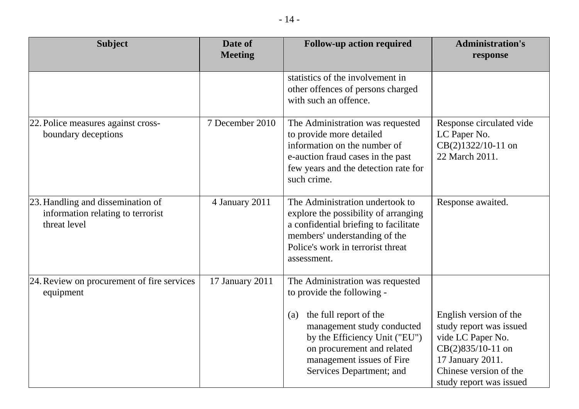| <b>Subject</b>                                                                         | Date of<br><b>Meeting</b> | <b>Follow-up action required</b>                                                                                                                                                                      | <b>Administration's</b><br>response                                                                                                                                  |
|----------------------------------------------------------------------------------------|---------------------------|-------------------------------------------------------------------------------------------------------------------------------------------------------------------------------------------------------|----------------------------------------------------------------------------------------------------------------------------------------------------------------------|
|                                                                                        |                           | statistics of the involvement in<br>other offences of persons charged<br>with such an offence.                                                                                                        |                                                                                                                                                                      |
| 22. Police measures against cross-<br>boundary deceptions                              | 7 December 2010           | The Administration was requested<br>to provide more detailed<br>information on the number of<br>e-auction fraud cases in the past<br>few years and the detection rate for<br>such crime.              | Response circulated vide<br>LC Paper No.<br>CB(2)1322/10-11 on<br>22 March 2011.                                                                                     |
| 23. Handling and dissemination of<br>information relating to terrorist<br>threat level | 4 January 2011            | The Administration undertook to<br>explore the possibility of arranging<br>a confidential briefing to facilitate<br>members' understanding of the<br>Police's work in terrorist threat<br>assessment. | Response awaited.                                                                                                                                                    |
| 24. Review on procurement of fire services<br>equipment                                | 17 January 2011           | The Administration was requested<br>to provide the following -                                                                                                                                        |                                                                                                                                                                      |
|                                                                                        |                           | the full report of the<br>(a)<br>management study conducted<br>by the Efficiency Unit ("EU")<br>on procurement and related<br>management issues of Fire<br>Services Department; and                   | English version of the<br>study report was issued<br>vide LC Paper No.<br>CB(2)835/10-11 on<br>17 January 2011.<br>Chinese version of the<br>study report was issued |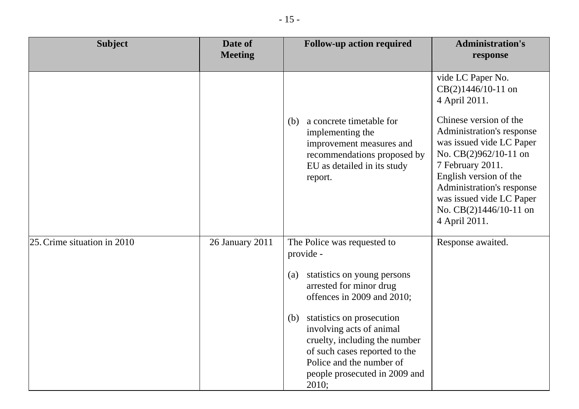| <b>Subject</b>              | Date of<br><b>Meeting</b> | <b>Follow-up action required</b>                                                                                                                                                                     | <b>Administration's</b><br>response                                                                                                                                                                                                                          |
|-----------------------------|---------------------------|------------------------------------------------------------------------------------------------------------------------------------------------------------------------------------------------------|--------------------------------------------------------------------------------------------------------------------------------------------------------------------------------------------------------------------------------------------------------------|
|                             |                           |                                                                                                                                                                                                      | vide LC Paper No.<br>$CB(2)1446/10-11$ on<br>4 April 2011.                                                                                                                                                                                                   |
|                             |                           | a concrete timetable for<br>(b)<br>implementing the<br>improvement measures and<br>recommendations proposed by<br>EU as detailed in its study<br>report.                                             | Chinese version of the<br>Administration's response<br>was issued vide LC Paper<br>No. CB(2)962/10-11 on<br>7 February 2011.<br>English version of the<br>Administration's response<br>was issued vide LC Paper<br>No. $CB(2)1446/10-11$ on<br>4 April 2011. |
| 25. Crime situation in 2010 | 26 January 2011           | The Police was requested to<br>provide -                                                                                                                                                             | Response awaited.                                                                                                                                                                                                                                            |
|                             |                           | statistics on young persons<br>(a)<br>arrested for minor drug<br>offences in 2009 and 2010;                                                                                                          |                                                                                                                                                                                                                                                              |
|                             |                           | statistics on prosecution<br>(b)<br>involving acts of animal<br>cruelty, including the number<br>of such cases reported to the<br>Police and the number of<br>people prosecuted in 2009 and<br>2010; |                                                                                                                                                                                                                                                              |